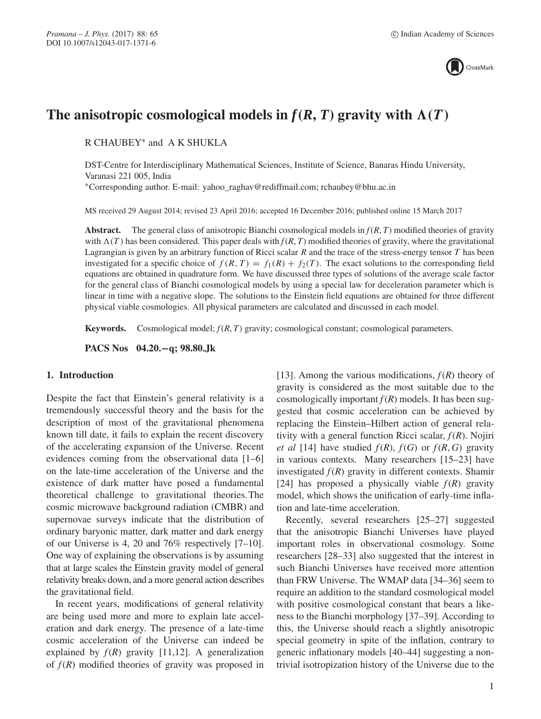

# The anisotropic cosmological models in  $f(R, T)$  gravity with  $\Lambda(T)$

R CHAUBEY∗ and A K SHUKLA

DST-Centre for Interdisciplinary Mathematical Sciences, Institute of Science, Banaras Hindu University, Varanasi 221 005, India

∗Corresponding author. E-mail: yahoo\_raghav@rediffmail.com; rchaubey@bhu.ac.in

MS received 29 August 2014; revised 23 April 2016; accepted 16 December 2016; published online 15 March 2017

**Abstract.** The general class of anisotropic Bianchi cosmological models in *f*(*R*, *T*) modified theories of gravity with  $\Lambda(T)$  has been considered. This paper deals with  $f(R, T)$  modified theories of gravity, where the gravitational and the gravitational parameters of the stress-energy tensor *T* has been Lagrangian is given by an arbitrary function of Ricci scalar R and the trace of the stress-energy tensor T has been investigated for a specific choice of  $f(R, T) = f_1(R) + f_2(T)$ . The exact solutions to the corresponding field equations are obtained in quadrature form. We have discussed three types of solutions of the average scale factor for the general class of Bianchi cosmological models by using a special law for deceleration parameter which is linear in time with a negative slope. The solutions to the Einstein field equations are obtained for three different physical viable cosmologies. All physical parameters are calculated and discussed in each model.

**Keywords.** Cosmological model; *f*(*R*, *T*) gravity; cosmological constant; cosmological parameters.

**PACS Nos 04.20.−q; 98.80.Jk**

## **1. Introduction**

Despite the fact that Einstein's general relativity is a tremendously successful theory and the basis for the description of most of the gravitational phenomena known till date, it fails to explain the recent discovery of the accelerating expansion of the Universe. Recent evidences coming from the observational data [1–6] on the late-time acceleration of the Universe and the existence of dark matter have posed a fundamental theoretical challenge to gravitational theories.The cosmic microwave background radiation (CMBR) and supernovae surveys indicate that the distribution of ordinary baryonic matter, dark matter and dark energy of our Universe is 4, 20 and 76% respectively [7–10]. One way of explaining the observations is by assuming that at large scales the Einstein gravity model of general relativity breaks down, and a more general action describes the gravitational field.

In recent years, modifications of general relativity are being used more and more to explain late acceleration and dark energy. The presence of a late-time cosmic acceleration of the Universe can indeed be explained by  $f(R)$  gravity [11,12]. A generalization of  $f(R)$  modified theories of gravity was proposed in [13]. Among the various modifications,  $f(R)$  theory of gravity is considered as the most suitable due to the cosmologically important  $f(R)$  models. It has been suggested that cosmic acceleration can be achieved by replacing the Einstein–Hilbert action of general relativity with a general function Ricci scalar, *f*(*R*). Nojiri *et al* [14] have studied  $f(R)$ ,  $f(G)$  or  $f(R, G)$  gravity in various contexts. Many researchers [15–23] have investigated  $f(R)$  gravity in different contexts. Shamir [24] has proposed a physically viable  $f(R)$  gravity model, which shows the unification of early-time inflation and late-time acceleration.

Recently, several researchers [25–27] suggested that the anisotropic Bianchi Universes have played important roles in observational cosmology. Some researchers [28–33] also suggested that the interest in such Bianchi Universes have received more attention than FRW Universe. The WMAP data [34–36] seem to require an addition to the standard cosmological model with positive cosmological constant that bears a likeness to the Bianchi morphology [37–39]. According to this, the Universe should reach a slightly anisotropic special geometry in spite of the inflation, contrary to generic inflationary models [40–44] suggesting a nontrivial isotropization history of the Universe due to the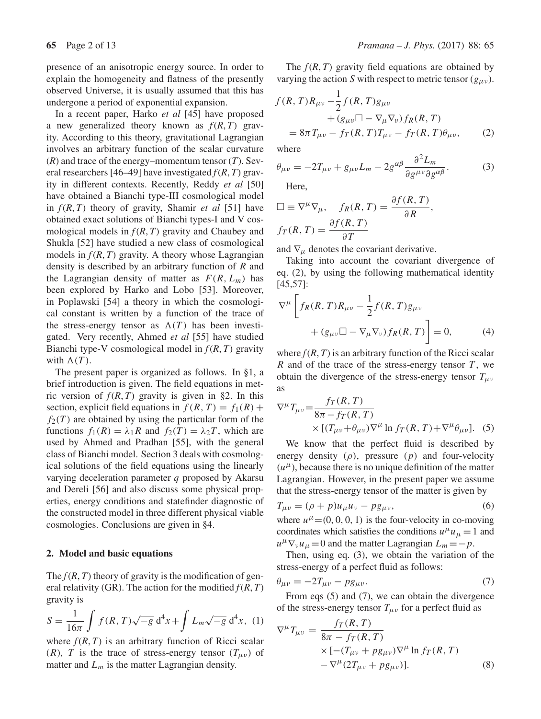presence of an anisotropic energy source. In order to explain the homogeneity and flatness of the presently observed Universe, it is usually assumed that this has undergone a period of exponential expansion.

In a recent paper, Harko *et al* [45] have proposed a new generalized theory known as  $f(R, T)$  gravity. According to this theory, gravitational Lagrangian involves an arbitrary function of the scalar curvature (*R*) and trace of the energy–momentum tensor (*T*). Several researchers [46–49] have investigated  $f(R, T)$  gravity in different contexts. Recently, Reddy *et al* [50] have obtained a Bianchi type-III cosmological model in *f*(*R*, *T*) theory of gravity, Shamir *et al* [51] have obtained exact solutions of Bianchi types-I and V cosmological models in  $f(R, T)$  gravity and Chaubey and Shukla [52] have studied a new class of cosmological models in  $f(R, T)$  gravity. A theory whose Lagrangian density is described by an arbitrary function of  $R$  and the Lagrangian density of matter as  $F(R, L_m)$  has been explored by Harko and Lobo [53]. Moreover, in Poplawski [54] a theory in which the cosmological constant is written by a function of the trace of the stress-energy tensor as  $\Lambda(T)$  has been investi-<br>gated. Very recently, Ahmed *et al* [55] have studied gated. Very recently, Ahmed *et al* [55] have studied Bianchi type-V cosmological model in *f*(*R*, *T*) gravity with  $\Lambda(T)$ .<br>The press

The present paper is organized as follows. In §1, a brief introduction is given. The field equations in metric version of  $f(R, T)$  gravity is given in §2. In this section, explicit field equations in  $f(R, T) = f_1(R) +$  $f_2(T)$  are obtained by using the particular form of the functions  $f_1(R) = \lambda_1 R$  and  $f_2(T) = \lambda_2 T$ , which are used by Ahmed and Pradhan [55], with the general class of Bianchi model. Section 3 deals with cosmological solutions of the field equations using the linearly varying deceleration parameter q proposed by Akarsu and Dereli [56] and also discuss some physical properties, energy conditions and statefinder diagnostic of the constructed model in three different physical viable cosmologies. Conclusions are given in §4.

#### **2. Model and basic equations**

The  $f(R, T)$  theory of gravity is the modification of general relativity (GR). The action for the modified  $f(R, T)$ gravity is

$$
S = \frac{1}{16\pi} \int f(R, T) \sqrt{-g} \, d^4x + \int L_m \sqrt{-g} \, d^4x, \tag{1}
$$
  
where  $f(R, T)$  is an arbitrary function of Ricci scalar

(R), T is the trace of stress-energy tensor  $(T_{\mu\nu})$  of matter and  $L_m$  is the matter Lagrangian density.

The  $f(R, T)$  gravity field equations are obtained by varying the action S with respect to metric tensor  $(g_{\mu\nu})$ .

$$
f(R, T)R_{\mu\nu} - \frac{1}{2}f(R, T)g_{\mu\nu} + (g_{\mu\nu} \Box - \nabla_{\mu} \nabla_{\nu})f_R(R, T) = 8\pi T_{\mu\nu} - f_T(R, T)T_{\mu\nu} - f_T(R, T)\theta_{\mu\nu},
$$
 (2)

where

$$
\theta_{\mu\nu} = -2T_{\mu\nu} + g_{\mu\nu}L_m - 2g^{\alpha\beta}\frac{\partial^2 L_m}{\partial g^{\mu\nu}\partial g^{\alpha\beta}}.
$$
 (3)

Here,

$$
\Box \equiv \nabla^{\mu} \nabla_{\mu}, \quad f_{R}(R, T) = \frac{\partial f(R, T)}{\partial R},
$$

$$
f_{T}(R, T) = \frac{\partial f(R, T)}{\partial T}
$$

and  $\nabla_{\mu}$  denotes the covariant derivative.<br>Taking into account the covariant

Taking into account the covariant divergence of eq. (2), by using the following mathematical identity [45,57]:

$$
\nabla^{\mu}\left[f_R(R,T)R_{\mu\nu} - \frac{1}{2}f(R,T)g_{\mu\nu}\right]
$$

$$
+ (g_{\mu\nu}\Box - \nabla_{\mu}\nabla_{\nu})f_R(R,T)\right] = 0,
$$
 (4)

where  $f(R, T)$  is an arbitrary function of the Ricci scalar  $R$  and of the trace of the stress-energy tensor  $T$ , we obtain the divergence of the stress-energy tensor  $T_{\mu\nu}$ as

$$
\nabla^{\mu} T_{\mu\nu} = \frac{f_T(R, T)}{8\pi - f_T(R, T)} \times [(T_{\mu\nu} + \theta_{\mu\nu}) \nabla^{\mu} \ln f_T(R, T) + \nabla^{\mu} \theta_{\mu\nu}].
$$
 (5)

We know that the perfect fluid is described by energy density  $(\rho)$ , pressure  $(p)$  and four-velocity  $(u^{\mu})$ , because there is no unique definition of the matter Lagrangian. However, in the present paper we assume that the stress-energy tensor of the matter is given by

$$
T_{\mu\nu} = (\rho + p)u_{\mu}u_{\nu} - pg_{\mu\nu},\tag{6}
$$

where  $u^{\mu}$  = (0, 0, 0, 1) is the four-velocity in co-moving<br>coordinates which satisfies the conditions  $u^{\mu}u_{\nu}$  = 1 and coordinates which satisfies the conditions  $u^{\mu}u_{\mu} = 1$  and  $u^{\mu}\nabla_{\nu}u_{\mu} = 0$  and the matter Lagrangian  $L_m = -p$ .

Then, using eq. (3), we obtain the variation of the stress-energy of a perfect fluid as follows:

$$
\theta_{\mu\nu} = -2T_{\mu\nu} - pg_{\mu\nu}.
$$
\n(7)

\nFrom eqs (5) and (7), we can obtain the divergence

of the stress-energy tensor  $T_{\mu\nu}$  for a perfect fluid as

$$
\nabla^{\mu}T_{\mu\nu} = \frac{f_T(R,T)}{8\pi - f_T(R,T)}
$$
  
× $\left[ -(T_{\mu\nu} + pg_{\mu\nu})\nabla^{\mu} \ln f_T(R,T) - \nabla^{\mu} (2T_{\mu\nu} + pg_{\mu\nu}) \right].$  (8)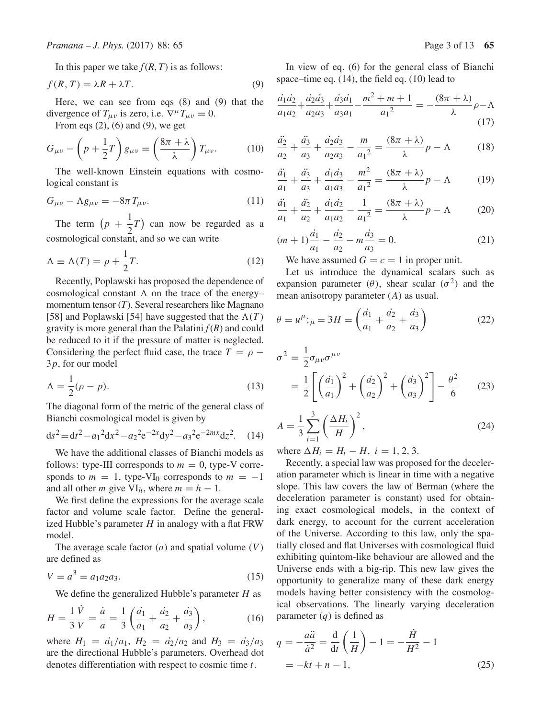In this paper we take  $f(R, T)$  is as follows:

$$
f(R,T) = \lambda R + \lambda T.
$$
 (9)

Here, we can see from eqs (8) and (9) that the divergence of  $T_{\mu\nu}$  is zero, i.e.  $\nabla^{\mu}T_{\mu\nu} = 0$ .

From eqs  $(2)$ ,  $(6)$  and  $(9)$ , we get

$$
G_{\mu\nu} - \left(p + \frac{1}{2}T\right)g_{\mu\nu} = \left(\frac{8\pi + \lambda}{\lambda}\right)T_{\mu\nu}.\tag{10}
$$

The well-known Einstein equations with cosmological constant is

$$
G_{\mu\nu} - \Lambda g_{\mu\nu} = -8\pi T_{\mu\nu}.
$$
 (11)

The term  $(p +$ 1  $2^{-}$  can now be regarded as a cosmological constant, and so we can write

$$
\Lambda \equiv \Lambda(T) = p + \frac{1}{2}T. \tag{12}
$$

Recently, Poplawski has proposed the dependence of cosmological constant  $\Lambda$  on the trace of the energy–<br>momentum tensor  $(T)$ . Several researchers like Magnano momentum tensor (*T*). Several researchers like Magnano [58] and Poplawski [54] have suggested that the  $\Lambda(T)$ gravity is more general than the Palatini  $f(R)$  and could be reduced to it if the pressure of matter is neglected. Considering the perfect fluid case, the trace  $T = \rho$  – <sup>3</sup>p, for our model

$$
\Lambda = \frac{1}{2}(\rho - p). \tag{13}
$$

The diagonal form of the metric of the general class of Bianchi cosmological model is given by

$$
ds^{2} = dt^{2} - a_{1}^{2} dx^{2} - a_{2}^{2} e^{-2x} dy^{2} - a_{3}^{2} e^{-2mx} dz^{2}. \quad (14)
$$

We have the additional classes of Bianchi models as follows: type-III corresponds to  $m = 0$ , type-V corresponds to  $m = 1$ , type-VI<sub>0</sub> corresponds to  $m = -1$ and all other *m* give  $VI_h$ , where  $m = h - 1$ .

We first define the expressions for the average scale factor and volume scale factor. Define the generalized Hubble's parameter  $H$  in analogy with a flat FRW model.

The average scale factor  $(a)$  and spatial volume  $(V)$ are defined as

$$
V = a^3 = a_1 a_2 a_3. \tag{15}
$$

We define the generalized Hubble's parameter  $H$  as

$$
H = \frac{1}{3} \frac{V}{V} = \frac{\dot{a}}{a} = \frac{1}{3} \left( \frac{\dot{a_1}}{a_1} + \frac{\dot{a_2}}{a_2} + \frac{\dot{a_3}}{a_3} \right),\tag{16}
$$

where  $H_1 = \frac{\dot{a}_1}{a_1}$ ,  $H_2 = \frac{\dot{a}_2}{a_2}$  and  $H_3 = \frac{\dot{a}_3}{a_3}$ <br>are the directional Hubble's parameters. Overhead dot are the directional Hubble's parameters. Overhead dot denotes differentiation with respect to cosmic time t.

In view of eq. (6) for the general class of Bianchi space–time eq. (14), the field eq. (10) lead to

$$
\frac{\dot{a}_1 \dot{a}_2}{a_1 a_2} + \frac{\dot{a}_2 \dot{a}_3}{a_2 a_3} + \frac{\dot{a}_3 \dot{a}_1}{a_3 a_1} - \frac{m^2 + m + 1}{a_1^2} = -\frac{(8\pi + \lambda)}{\lambda} \rho - \Lambda
$$
\n(17)

$$
\frac{\ddot{a_2}}{a_2} + \frac{\ddot{a_3}}{a_3} + \frac{\dot{a_2}\dot{a_3}}{a_2 a_3} - \frac{m}{a_1^2} = \frac{(8\pi + \lambda)}{\lambda}p - \Lambda \tag{18}
$$

$$
\frac{\ddot{a_1}}{a_1} + \frac{\ddot{a_3}}{a_3} + \frac{\dot{a_1}\dot{a_3}}{a_1 a_3} - \frac{m^2}{a_1^2} = \frac{(8\pi + \lambda)}{\lambda} p - \Lambda \tag{19}
$$

$$
\frac{\ddot{a_1}}{a_1} + \frac{\ddot{a_2}}{a_2} + \frac{\dot{a_1}\dot{a_2}}{a_1 a_2} - \frac{1}{a_1^2} = \frac{(8\pi + \lambda)}{\lambda} p - \Lambda \tag{20}
$$

$$
(m+1)\frac{\dot{a}_1}{a_1} - \frac{\dot{a}_2}{a_2} - m\frac{\dot{a}_3}{a_3} = 0.
$$
 (21)

We have assumed  $G = c = 1$  in proper unit.<br>Let us introduce the dynamical scalars

Let us introduce the dynamical scalars such as expansion parameter ( $\theta$ ), shear scalar ( $\sigma^2$ ) and the mean anisotropy parameter (A) as usual.

$$
\theta = u^{\mu};_{\mu} = 3H = \left(\frac{\dot{a}_1}{a_1} + \frac{\dot{a}_2}{a_2} + \frac{\dot{a}_3}{a_3}\right)
$$
(22)

$$
\sigma^2 = \frac{1}{2}\sigma_{\mu\nu}\sigma^{\mu\nu}
$$

$$
= \frac{1}{2}\left[\left(\frac{\dot{a_1}}{a_1}\right)^2 + \left(\frac{\dot{a_2}}{a_2}\right)^2 + \left(\frac{\dot{a_3}}{a_3}\right)^2\right] - \frac{\theta^2}{6} \tag{23}
$$

$$
A = \frac{1}{3} \sum_{i=1}^{3} \left( \frac{\Delta H_i}{H} \right)^2,
$$
 (24)

where  $\Delta H_i = H_i - H$ ,  $i = 1, 2, 3$ .<br>Recently a special law was propo

Recently, a special law was proposed for the deceleration parameter which is linear in time with a negative slope. This law covers the law of Berman (where the deceleration parameter is constant) used for obtaining exact cosmological models, in the context of dark energy, to account for the current acceleration of the Universe. According to this law, only the spatially closed and flat Universes with cosmological fluid exhibiting quintom-like behaviour are allowed and the Universe ends with a big-rip. This new law gives the opportunity to generalize many of these dark energy models having better consistency with the cosmological observations. The linearly varying deceleration parameter  $(q)$  is defined as

$$
q = -\frac{a\ddot{a}}{\dot{a}^2} = \frac{d}{dt}\left(\frac{1}{H}\right) - 1 = -\frac{H}{H^2} - 1
$$
  
=  $-kt + n - 1$ , (25)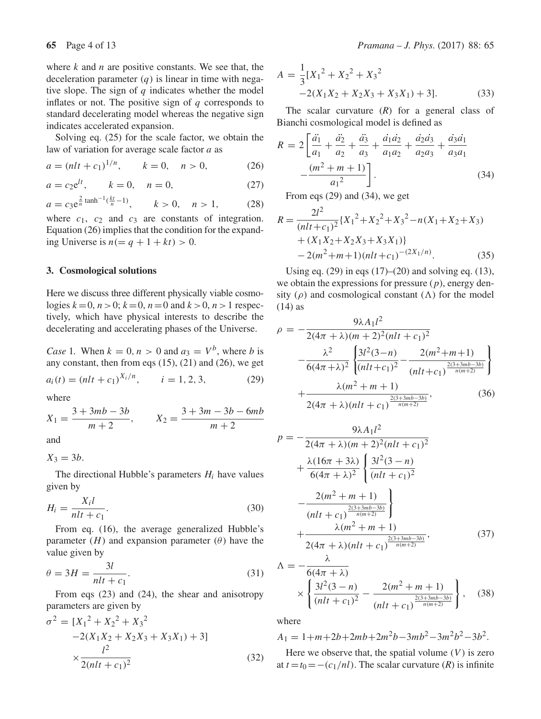where  $k$  and  $n$  are positive constants. We see that, the deceleration parameter  $(q)$  is linear in time with negative slope. The sign of  $q$  indicates whether the model inflates or not. The positive sign of  $q$  corresponds to standard decelerating model whereas the negative sign indicates accelerated expansion.

Solving eq. (25) for the scale factor, we obtain the law of variation for average scale factor a as

$$
a = (nlt + c_1)^{1/n}, \qquad k = 0, \quad n > 0,
$$
 (26)

$$
a = c_2 e^{lt}, \qquad k = 0, \quad n = 0,
$$
 (27)

$$
a = c_3 e^{\frac{2}{n} \tanh^{-1}(\frac{kt}{n} - 1)}, \qquad k > 0, \quad n > 1,
$$
 (28)

where  $c_1$ ,  $c_2$  and  $c_3$  are constants of integration.<br>Fountion (26) implies that the condition for the expand-Equation (26) implies that the condition for the expanding Universe is  $n (= q + 1 + kt) > 0$ .

### **3. Cosmological solutions**

Here we discuss three different physically viable cosmologies  $k=0$ ,  $n>0$ ;  $k=0$ ,  $n=0$  and  $k > 0$ ,  $n > 1$  respectively, which have physical interests to describe the decelerating and accelerating phases of the Universe.

*Case* 1. When  $k = 0, n > 0$  and  $a_3 = V^b$ , where *b* is any constant, then from eqs  $(15)$ ,  $(21)$  and  $(26)$ , we get

$$
a_i(t) = (nlt + c_1)^{\lambda_i/n}, \qquad i = 1, 2, 3,
$$
 (29)

where

$$
X_1 = \frac{3 + 3mb - 3b}{m + 2}, \qquad X_2 = \frac{3 + 3m - 3b - 6mb}{m + 2}
$$

and

 $X_3 = 3b$ .

The directional Hubble's parameters  $H_i$  have values given by

$$
H_i = \frac{X_i l}{n l t + c_1}.\tag{30}
$$

 $nlt + c_1$ <br>From eq. (16), the average generalized Hubble's parameter  $(H)$  and expansion parameter  $(\theta)$  have the value given by

$$
\theta = 3H = \frac{3l}{nlt + c_1}.\tag{31}
$$

 $ntt + c_1$ <br>From eqs (23) and (24), the shear and anisotropy parameters are given by

$$
\sigma^{2} = [X_{1}^{2} + X_{2}^{2} + X_{3}^{2}
$$
  
-2(X<sub>1</sub>X<sub>2</sub> + X<sub>2</sub>X<sub>3</sub> + X<sub>3</sub>X<sub>1</sub>) + 3]  

$$
\times \frac{l^{2}}{2(nlt + c_{1})^{2}}
$$
(32)

$$
A = \frac{1}{3} [X_1^2 + X_2^2 + X_3^2
$$
  
-2(X<sub>1</sub>X<sub>2</sub> + X<sub>2</sub>X<sub>3</sub> + X<sub>3</sub>X<sub>1</sub>) + 3]. (33)

The scalar curvature (*R*) for a general class of Bianchi cosmological model is defined as

$$
R = 2\left[\frac{\ddot{a_1}}{a_1} + \frac{\ddot{a_2}}{a_2} + \frac{\ddot{a_3}}{a_3} + \frac{\dot{a_1}\dot{a_2}}{a_1a_2} + \frac{\dot{a_2}\dot{a_3}}{a_2a_3} + \frac{\dot{a_3}\dot{a_1}}{a_3a_1}\right] - \frac{(m^2 + m + 1)}{a_1^2}.
$$
 (34)

 $a_1^2$   $\Box$ <br>From eqs (29) and (34), we get

$$
R = \frac{2l^2}{(nlt + c_1)^2} \{X_1^2 + X_2^2 + X_3^2 - n(X_1 + X_2 + X_3) + (X_1X_2 + X_2X_3 + X_3X_1)\} - 2(m^2 + m + 1)(nlt + c_1)^{-(2X_1/n)}. \tag{35}
$$

Using eq. (29) in eqs (17)–(20) and solving eq. (13), we obtain the expressions for pressure  $(p)$ , energy density ( $\rho$ ) and cosmological constant ( $\Lambda$ ) for the model (14) as  $(14)$  as

$$
\rho = -\frac{9\lambda A_1 l^2}{2(4\pi + \lambda)(m + 2)^2 (nlt + c_1)^2} -\frac{\lambda^2}{6(4\pi + \lambda)^2} \left\{ \frac{3l^2(3-n)}{(nlt + c_1)^2} - \frac{2(m^2 + m + 1)}{(nlt + c_1)^{\frac{2(3+3mb-3b)}{n(m+2)}}} \right\} + \frac{\lambda(m^2 + m + 1)}{2(4\pi + \lambda)(nlt + c_1)^{\frac{2(3+3mb-3b)}{n(m+2)}}},
$$
\n(36)

$$
p = -\frac{9\lambda A_1 l^2}{2(4\pi + \lambda)(m + 2)^2(nlt + c_1)^2} + \frac{\lambda(16\pi + 3\lambda)}{6(4\pi + \lambda)^2} \left\{ \frac{3l^2(3 - n)}{(nlt + c_1)^2} - \frac{2(m^2 + m + 1)}{(nlt + c_1)^{\frac{2(3 + 3mb - 3b)}{n(m + 2)}}} \right\} + \frac{\lambda(m^2 + m + 1)}{2(4\pi + \lambda)(nlt + c_1)^{\frac{2(3 + 3mb - 3b)}{n(m + 2)}}},
$$
(37)

$$
\Lambda = -\frac{6(4\pi + \lambda)}{6(4\pi + \lambda)} \times \left\{ \frac{3l^2(3-n)}{(nlt + c_1)^2} - \frac{2(m^2 + m + 1)}{(nlt + c_1)^{\frac{2(3+3mb-3b)}{n(m+2)}}} \right\},
$$
(38)

where

$$
A_1 = 1 + m + 2b + 2mb + 2m^2b - 3mb^2 - 3m^2b^2 - 3b^2.
$$

Here we observe that, the spatial volume  $(V)$  is zero at  $t = t_0 = -(c_1/nl)$ . The scalar curvature (*R*) is infinite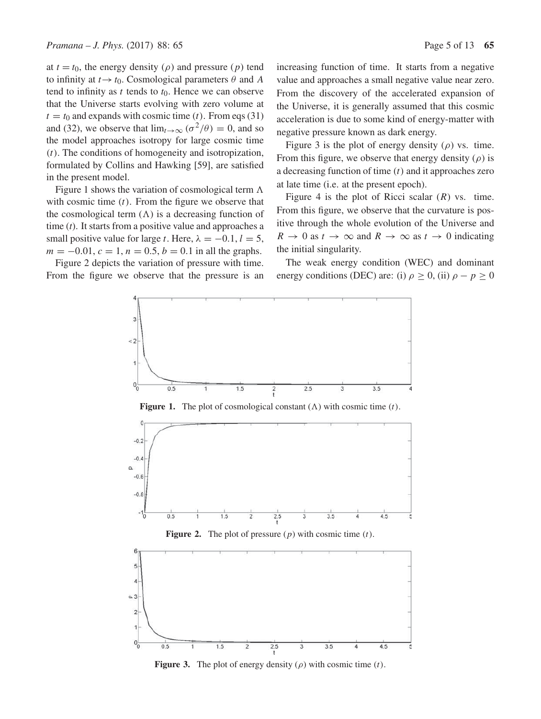at  $t = t_0$ , the energy density ( $\rho$ ) and pressure ( $p$ ) tend to infinity at  $t \rightarrow t_0$ . Cosmological parameters  $\theta$  and A tend to infinity as t tends to  $t_0$ . Hence we can observe that the Universe starts evolving with zero volume at  $t = t_0$  and expands with cosmic time (t). From eqs (31) and (32), we observe that  $\lim_{t\to\infty} (\sigma^2/\theta) = 0$ , and so the model approaches isotropy for large cosmic time  $(t)$ . The conditions of homogeneity and isotropization, formulated by Collins and Hawking [59], are satisfied in the present model.

Figure 1 shows the variation of cosmological term  $\Lambda$ <br>th cosmic time (t). From the figure we observe that with cosmic time  $(t)$ . From the figure we observe that the cosmological term  $(\Lambda)$  is a decreasing function of<br>time (t). It starts from a positive value and approaches a time (*t*). It starts from a positive value and approaches a small positive value for large t. Here,  $\lambda = -0.1, l = 5$ ,  $m = -0.01$ ,  $c = 1$ ,  $n = 0.5$ ,  $b = 0.1$  in all the graphs.

Figure 2 depicts the variation of pressure with time. From the figure we observe that the pressure is an increasing function of time. It starts from a negative value and approaches a small negative value near zero. From the discovery of the accelerated expansion of the Universe, it is generally assumed that this cosmic acceleration is due to some kind of energy-matter with negative pressure known as dark energy.

Figure 3 is the plot of energy density  $(\rho)$  vs. time. From this figure, we observe that energy density  $(\rho)$  is a decreasing function of time  $(t)$  and it approaches zero at late time (i.e. at the present epoch).

Figure 4 is the plot of Ricci scalar  $(R)$  vs. time. From this figure, we observe that the curvature is positive through the whole evolution of the Universe and  $R \to 0$  as  $t \to \infty$  and  $R \to \infty$  as  $t \to 0$  indicating the initial singularity.

The weak energy condition (WEC) and dominant energy conditions (DEC) are: (i)  $\rho \ge 0$ , (ii)  $\rho - p \ge 0$ 





**Figure 3.** The plot of energy density  $(\rho)$  with cosmic time  $(t)$ .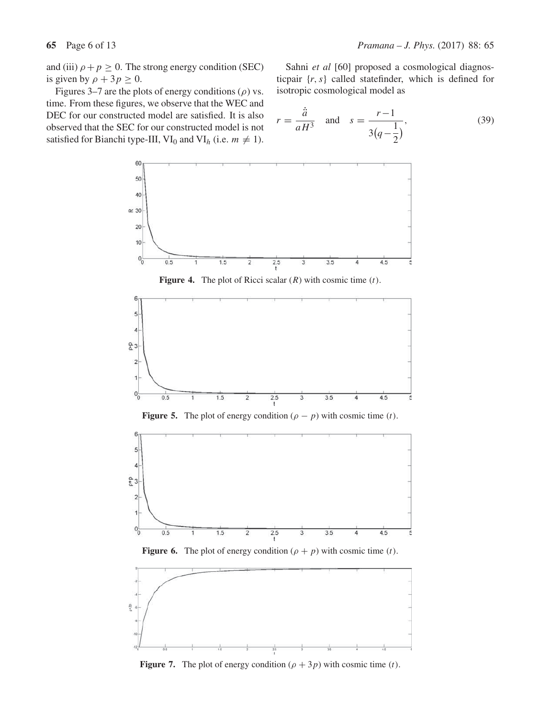and (iii)  $\rho + p \ge 0$ . The strong energy condition (SEC) is given by  $\rho + 3p \ge 0$ .<br>Figures 3–7 are the pla

Sahni *et al* [60] proposed a cosmological diagnosticpair  $\{r, s\}$  called statefinder, which is defined for isotropic cosmological model as

Figures 3–7 are the plots of energy conditions (
$$
\rho
$$
) vs.  
time. From these figures, we observe that the WEC and  
DEC for our constructed model are satisfied. It is also  
observed that the SEC for our constructed model is not  
satisfied for Bianchi type-III, VI<sub>0</sub> and VI<sub>h</sub> (i.e.  $m \neq 1$ ).

$$
r = \frac{\ddot{a}}{aH^3}
$$
 and  $s = \frac{r-1}{3(q-\frac{1}{2})}$ , (39)



**Figure 4.** The plot of Ricci scalar  $(R)$  with cosmic time  $(t)$ .



**Figure 5.** The plot of energy condition  $(\rho - p)$  with cosmic time (t).







**Figure 7.** The plot of energy condition  $(\rho + 3p)$  with cosmic time (*t*).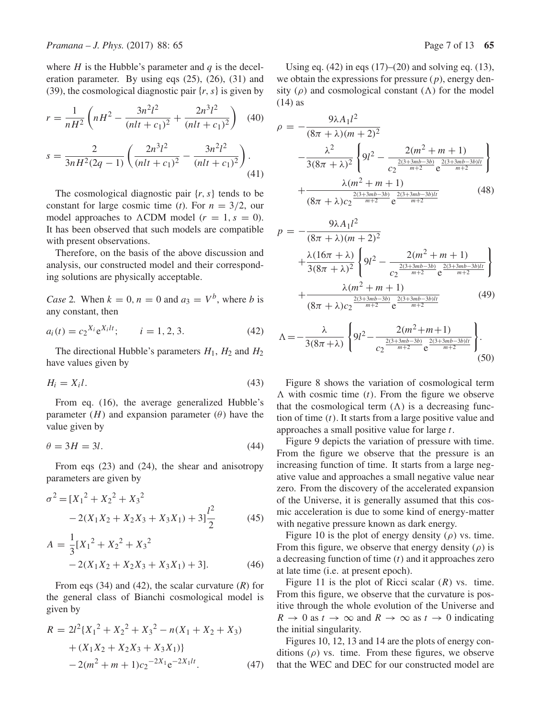where  $H$  is the Hubble's parameter and  $q$  is the deceleration parameter. By using eqs (25), (26), (31) and (39), the cosmological diagnostic pair  $\{r, s\}$  is given by

$$
r = \frac{1}{nH^2} \left( nH^2 - \frac{3n^2l^2}{(nlt + c_1)^2} + \frac{2n^3l^2}{(nlt + c_1)^2} \right) \tag{40}
$$

$$
s = \frac{2}{3nH^2(2q - 1)} \left( \frac{2n^3l^2}{(nlt + c_1)^2} - \frac{3n^2l^2}{(nlt + c_1)^2} \right). \tag{41}
$$

The cosmological diagnostic pair  $\{r, s\}$  tends to be constant for large cosmic time (*t*). For  $n = 3/2$ , our model approaches to  $\Lambda$ CDM model  $(r = 1, s = 0)$ .<br>It has been observed that such models are compatible It has been observed that such models are compatible with present observations.

Therefore, on the basis of the above discussion and analysis, our constructed model and their corresponding solutions are physically acceptable.

*Case* 2. When  $k = 0$ ,  $n = 0$  and  $a_3 = V^b$ , where b is any constant, then

$$
a_i(t) = c_2^{X_i} e^{X_i t}, \qquad i = 1, 2, 3.
$$
 (42)

The directional Hubble's parameters  $H_1$ ,  $H_2$  and  $H_2$ have values given by

$$
H_i = X_i l. \tag{43}
$$

From eq. (16), the average generalized Hubble's parameter  $(H)$  and expansion parameter  $(\theta)$  have the value given by

$$
\theta = 3H = 3l. \tag{44}
$$

From eqs (23) and (24), the shear and anisotropy parameters are given by

$$
\sigma^{2} = [X_{1}^{2} + X_{2}^{2} + X_{3}^{2} - 2(X_{1}X_{2} + X_{2}X_{3} + X_{3}X_{1}) + 3]\frac{l^{2}}{2}
$$
(45)

$$
A = \frac{1}{3}[X_1^2 + X_2^2 + X_3^2
$$
  
-2(X<sub>1</sub>X<sub>2</sub> + X<sub>2</sub>X<sub>3</sub> + X<sub>3</sub>X<sub>1</sub>) + 3]. (46)

From eqs (34) and (42), the scalar curvature (*R*) for the general class of Bianchi cosmological model is given by

$$
R = 2l^{2}\left\{X_{1}^{2} + X_{2}^{2} + X_{3}^{2} - n(X_{1} + X_{2} + X_{3})\right.+ (X_{1}X_{2} + X_{2}X_{3} + X_{3}X_{1})\} - 2(m^{2} + m + 1)c_{2}^{-2X_{1}}e^{-2X_{1}lt}.
$$
 (47)

Using eq.  $(42)$  in eqs  $(17)–(20)$  and solving eq.  $(13)$ , we obtain the expressions for pressure  $(p)$ , energy density ( $\rho$ ) and cosmological constant ( $\Lambda$ ) for the model (14) as  $(14)$  as

$$
\rho = -\frac{9\lambda A_1 l^2}{(8\pi + \lambda)(m + 2)^2} -\frac{\lambda^2}{3(8\pi + \lambda)^2} \left\{ 9l^2 - \frac{2(m^2 + m + 1)}{c_2^{\frac{2(3+3mb-3b)}{m+2}} e^{\frac{2(3+3mb-3b)lt}{m+2}}} \right\} + \frac{\lambda(m^2 + m + 1)}{(8\pi + \lambda)c_2^{\frac{2(3+3mb-3b)}{m+2}} e^{\frac{2(3+3mb-3b)lt}{m+2}}} \tag{48}
$$

$$
p = -\frac{9\lambda A_1 l^2}{(8\pi + \lambda)(m + 2)^2} + \frac{\lambda (16\pi + \lambda)}{3(8\pi + \lambda)^2} \left\{ 9l^2 - \frac{2(m^2 + m + 1)}{c_2^{\frac{2(3+3mb-3b)}{m+2}} e^{\frac{2(3+3mb-3b)lt}{m+2}}} \right\} + \frac{\lambda (m^2 + m + 1)}{(8\pi + \lambda)c_2^{\frac{2(3+3mb-3b)}{m+2}} e^{\frac{2(3+3mb-3b)lt}{m+2}}}
$$
(49)

$$
\Lambda = -\frac{\lambda}{3(8\pi + \lambda)} \left\{ 9l^2 - \frac{2(m^2 + m + 1)}{c_2^{\frac{2(3+3m b - 3b)}{m+2}} e^{\frac{2(3+3m b - 3b)lt}{m+2}}} \right\}.
$$
\n(50)

Figure 8 shows the variation of cosmological term that the cosmological term  $(\Lambda)$  is a decreasing func-<br>tion of time (t). It starts from a large positive value and  $\Lambda$  with cosmic time (t). From the figure we observe tion of time  $(t)$ . It starts from a large positive value and approaches a small positive value for large t.

Figure 9 depicts the variation of pressure with time. From the figure we observe that the pressure is an increasing function of time. It starts from a large negative value and approaches a small negative value near zero. From the discovery of the accelerated expansion of the Universe, it is generally assumed that this cosmic acceleration is due to some kind of energy-matter with negative pressure known as dark energy.

Figure 10 is the plot of energy density  $(\rho)$  vs. time. From this figure, we observe that energy density  $(\rho)$  is a decreasing function of time  $(t)$  and it approaches zero at late time (i.e. at present epoch).

Figure 11 is the plot of Ricci scalar  $(R)$  vs. time. From this figure, we observe that the curvature is positive through the whole evolution of the Universe and  $R \to 0$  as  $t \to \infty$  and  $R \to \infty$  as  $t \to 0$  indicating the initial singularity.

Figures 10, 12, 13 and 14 are the plots of energy conditions  $(\rho)$  vs. time. From these figures, we observe that the WEC and DEC for our constructed model are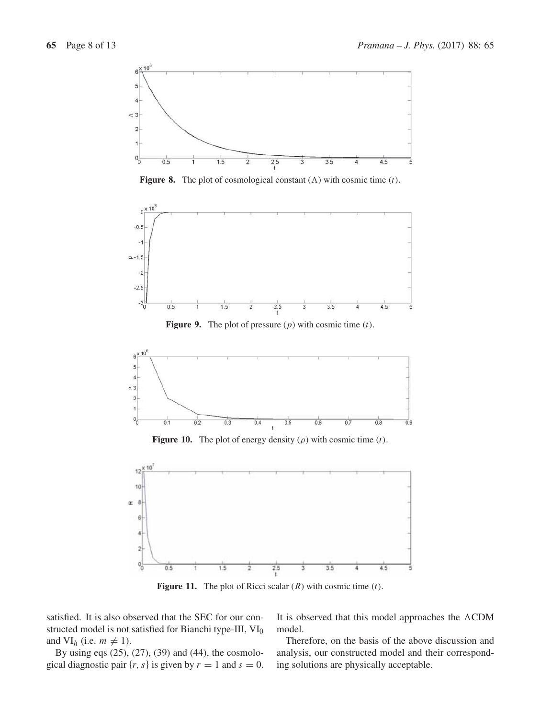

**Figure 8.** The plot of cosmological constant  $(\Lambda)$  with cosmic time  $(t)$ .



**Figure 9.** The plot of pressure  $(p)$  with cosmic time  $(t)$ .



**Figure 10.** The plot of energy density  $(\rho)$  with cosmic time  $(t)$ .



**Figure 11.** The plot of Ricci scalar  $(R)$  with cosmic time  $(t)$ .

satisfied. It is also observed that the SEC for our constructed model is not satisfied for Bianchi type-III, VI<sub>0</sub> and  $VI_h$  (i.e.  $m \neq 1$ ).<br>By using eqs (25)

By using eqs (25), (27), (39) and (44), the cosmological diagnostic pair  $\{r, s\}$  is given by  $r = 1$  and  $s = 0$ .

It is observed that this model approaches the  $\Lambda$ CDM<br>model model.

Therefore, on the basis of the above discussion and analysis, our constructed model and their corresponding solutions are physically acceptable.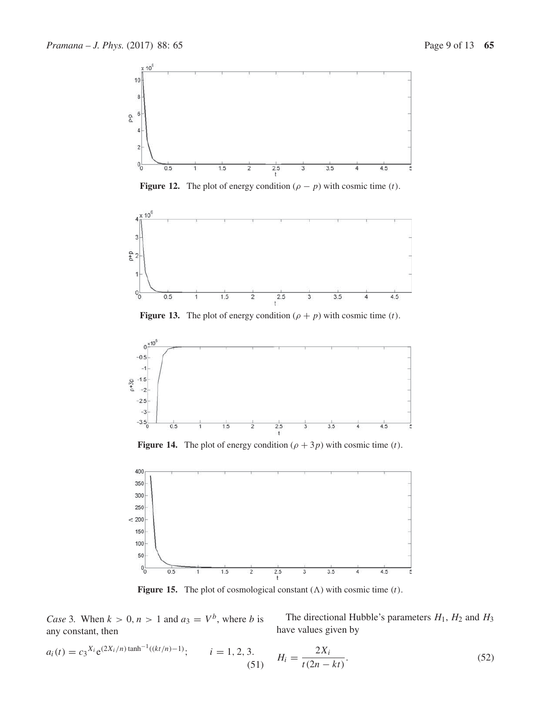

**Figure 12.** The plot of energy condition  $(\rho - p)$  with cosmic time (t).



**Figure 13.** The plot of energy condition  $(\rho + p)$  with cosmic time (*t*).



**Figure 14.** The plot of energy condition  $(\rho + 3p)$  with cosmic time (t).



**Figure 15.** The plot of cosmological constant  $(\Lambda)$  with cosmic time  $(t)$ .

*Case* 3. When  $k > 0$ ,  $n > 1$  and  $a_3 = V^b$ , where *b* is any constant, then

The directional Hubble's parameters  $H_1$ ,  $H_2$  and  $H_3$ have values given by

$$
a_i(t) = c_3^{X_i} e^{(2X_i/n) \tanh^{-1}((kt/n) - 1)}; \qquad i = 1, 2, 3. \qquad H_i = \frac{2X_i}{t(2n - kt)}.
$$
\n(52)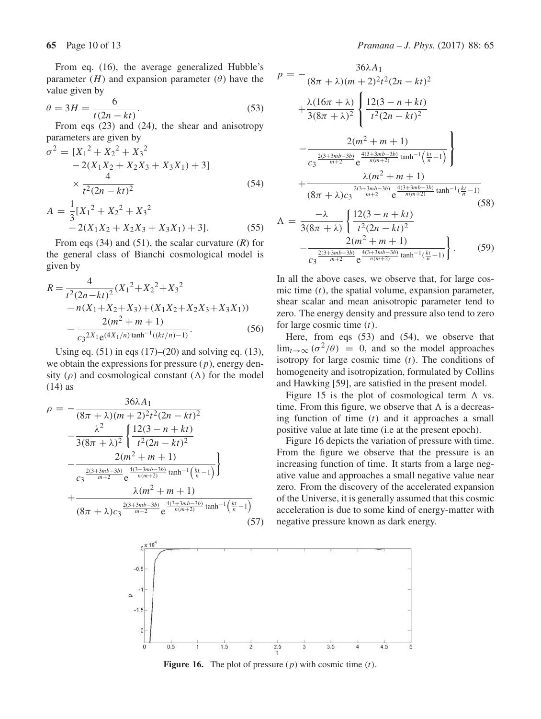From eq. (16), the average generalized Hubble's parameter  $(H)$  and expansion parameter  $(\theta)$  have the value given by

$$
\theta = 3H = \frac{6}{t(2n - kt)}.
$$
\nFrom eqs (23) and (24), the shear and anisotropy

parameters are given by

$$
\sigma^{2} = [X_{1}^{2} + X_{2}^{2} + X_{3}^{2}
$$
  
-2(X<sub>1</sub>X<sub>2</sub> + X<sub>2</sub>X<sub>3</sub> + X<sub>3</sub>X<sub>1</sub>) + 3]  

$$
\times \frac{4}{t^{2}(2n - kt)^{2}}
$$
(54)

$$
A = \frac{1}{3} [X_1^2 + X_2^2 + X_3^2
$$
  
- 2(X<sub>1</sub>X<sub>2</sub> + X<sub>2</sub>X<sub>3</sub> + X<sub>3</sub>X<sub>1</sub>) + 3]. (55)

From eqs (34) and (51), the scalar curvature (*R*) for the general class of Bianchi cosmological model is given by

$$
R = \frac{4}{t^2(2n - kt)^2} (X_1^2 + X_2^2 + X_3^2 -n(X_1 + X_2 + X_3) + (X_1X_2 + X_2X_3 + X_3X_1)) - \frac{2(m^2 + m + 1)}{c_3^{2X_1}e^{(4X_1/n)\tanh^{-1}((kt/n) - 1)}}.
$$
(56)

Using eq. (51) in eqs (17)–(20) and solving eq. (13), we obtain the expressions for pressure  $(p)$ , energy density ( $\rho$ ) and cosmological constant ( $\Lambda$ ) for the model (14) as (14) as

$$
\rho = -\frac{36\lambda A_1}{(8\pi + \lambda)(m + 2)^2 t^2 (2n - kt)^2} -\frac{\lambda^2}{3(8\pi + \lambda)^2} \left\{ \frac{12(3 - n + kt)}{t^2 (2n - kt)^2} -\frac{2(m^2 + m + 1)}{c_3 \frac{2(3+3mb-3b)}{m+2} e^{\frac{4(3+3mb-3b)}{n(m+2)}} \tanh^{-1}(\frac{kt}{n} - 1)} \right\} + \frac{\lambda(m^2 + m + 1)}{(8\pi + \lambda)c_3 \frac{2(3+3mb-3b)}{m+2} e^{\frac{4(3+3mb-3b)}{n(m+2)}} \tanh^{-1}(\frac{kt}{n} - 1)}
$$
\n(57)

$$
p = -\frac{36\lambda A_1}{(8\pi + \lambda)(m + 2)^2 t^2 (2n - kt)^2} + \frac{\lambda (16\pi + \lambda)}{3(8\pi + \lambda)^2} \left\{ \frac{12(3 - n + kt)}{t^2 (2n - kt)^2} - \frac{2(m^2 + m + 1)}{c_3 \frac{2(3 + 3mb - 3b)}{m + 2} e^{\frac{4(3 + 3mb - 3b)}{n(m + 2)} \tanh^{-1} \left(\frac{kt}{n} - 1\right)}}{c_3 \frac{2(3 + 3mb - 3b)}{m + 2} e^{\frac{4(3 + 3mb - 3b)}{n(m + 2)} \tanh^{-1} \left(\frac{kt}{n} - 1\right)}} + \frac{\lambda (m^2 + m + 1)}{(8\pi + \lambda)c_3 \frac{2(3 + 3mb - 3b)}{m + 2} e^{\frac{4(3 + 3mb - 3b)}{n(m + 2)} \tanh^{-1} \left(\frac{kt}{n} - 1\right)}}{c_3 \frac{2(3 + 3mb - 3b)}{m + 2} e^{\frac{4(3 + 3mb - 3b)}{n(m + 2)} \tanh^{-1} \left(\frac{kt}{n} - 1\right)}}.
$$
(59)

In all the above cases, we observe that, for large cosmic time  $(t)$ , the spatial volume, expansion parameter, shear scalar and mean anisotropic parameter tend to zero. The energy density and pressure also tend to zero for large cosmic time  $(t)$ .

Here, from eqs (53) and (54), we observe that  $\lim_{t\to\infty}$  ( $\sigma^2/\theta$ ) = 0, and so the model approaches isotropy for large cosmic time  $(t)$ . The conditions of homogeneity and isotropization, formulated by Collins and Hawking [59], are satisfied in the present model.

Figure 15 is the plot of cosmological term  $\Lambda$  vs.<br>ne. From this figure, we observe that  $\Lambda$  is a decreastime. From this figure, we observe that  $\Lambda$  is a decreas-<br>ing function of time (t) and it approaches a small ing function of time  $(t)$  and it approaches a small positive value at late time (i.e at the present epoch).

Figure 16 depicts the variation of pressure with time. From the figure we observe that the pressure is an increasing function of time. It starts from a large negative value and approaches a small negative value near zero. From the discovery of the accelerated expansion of the Universe, it is generally assumed that this cosmic acceleration is due to some kind of energy-matter with negative pressure known as dark energy.



**Figure 16.** The plot of pressure  $(p)$  with cosmic time  $(t)$ .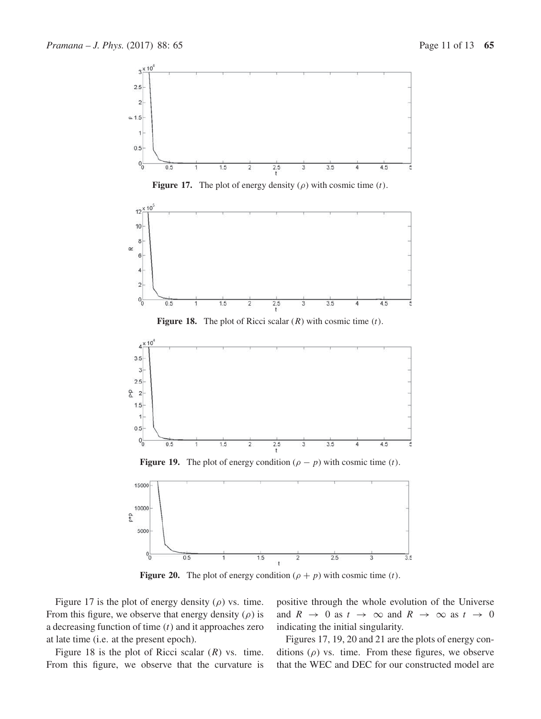





**Figure 18.** The plot of Ricci scalar  $(R)$  with cosmic time  $(t)$ .



**Figure 19.** The plot of energy condition  $(\rho - p)$  with cosmic time (t).



**Figure 20.** The plot of energy condition  $(\rho + p)$  with cosmic time  $(t)$ .

Figure 17 is the plot of energy density  $(\rho)$  vs. time. From this figure, we observe that energy density  $(\rho)$  is a decreasing function of time  $(t)$  and it approaches zero at late time (i.e. at the present epoch).

Figure 18 is the plot of Ricci scalar  $(R)$  vs. time. From this figure, we observe that the curvature is positive through the whole evolution of the Universe and  $R \rightarrow 0$  as  $t \rightarrow \infty$  and  $R \rightarrow \infty$  as  $t \rightarrow 0$ indicating the initial singularity.

Figures 17, 19, 20 and 21 are the plots of energy conditions  $(\rho)$  vs. time. From these figures, we observe that the WEC and DEC for our constructed model are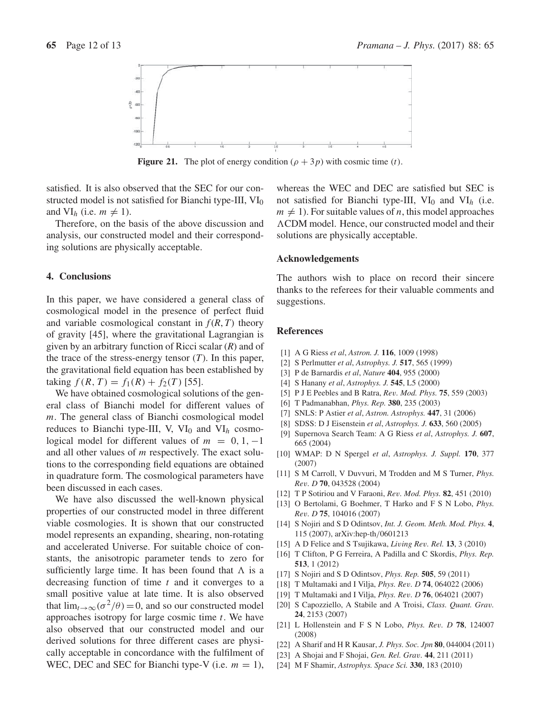

**Figure 21.** The plot of energy condition  $(\rho + 3p)$  with cosmic time (*t*).

satisfied. It is also observed that the SEC for our constructed model is not satisfied for Bianchi type-III,  $VI_0$ and  $VI_h$  (i.e.  $m \neq 1$ ).<br>Therefore on the k

Therefore, on the basis of the above discussion and analysis, our constructed model and their corresponding solutions are physically acceptable.

## **4. Conclusions**

In this paper, we have considered a general class of cosmological model in the presence of perfect fluid and variable cosmological constant in  $f(R, T)$  theory of gravity [45], where the gravitational Lagrangian is given by an arbitrary function of Ricci scalar (*R*) and of the trace of the stress-energy tensor  $(T)$ . In this paper, the gravitational field equation has been established by taking  $f(R, T) = f_1(R) + f_2(T)$  [55].

We have obtained cosmological solutions of the general class of Bianchi model for different values of m. The general class of Bianchi cosmological model reduces to Bianchi type-III, V,  $VI_0$  and  $VI_h$  cosmological model for different values of  $m = 0, 1, -1$ and all other values of m respectively. The exact solutions to the corresponding field equations are obtained in quadrature form. The cosmological parameters have been discussed in each cases.

We have also discussed the well-known physical properties of our constructed model in three different viable cosmologies. It is shown that our constructed model represents an expanding, shearing, non-rotating and accelerated Universe. For suitable choice of constants, the anisotropic parameter tends to zero for sufficiently large time. It has been found that  $\Lambda$  is a decreasing function of time t and it converges to a decreasing function of time  $t$  and it converges to a small positive value at late time. It is also observed that  $\lim_{t\to\infty}(\sigma^2/\theta)=0$ , and so our constructed model approaches isotropy for large cosmic time  $t$ . We have also observed that our constructed model and our derived solutions for three different cases are physically acceptable in concordance with the fulfilment of WEC, DEC and SEC for Bianchi type-V (i.e.  $m = 1$ ),

whereas the WEC and DEC are satisfied but SEC is not satisfied for Bianchi type-III,  $VI_0$  and  $VI_h$  (i.e.  $m \neq 1$ ). For suitable values of *n*, this model approaches  $\triangle$ CDM model. Hence, our constructed model and their solutions are physically acceptable. CDM model. Hence, our constructed model and their

## **Acknowledgements**

The authors wish to place on record their sincere thanks to the referees for their valuable comments and suggestions.

## **References**

- [1] A G Riess *et al*, *Astron. J.* **116**, 1009 (1998)
- [2] S Perlmutter *et al*, *Astrophys. J.* **517**, 565 (1999)
- [3] P de Barnardis *et al*, *Nature* **404**, 955 (2000)
- [4] S Hanany *et al*, *Astrophys. J.* **545**, L5 (2000)
- [5] P J E Peebles and B Ratra, *Re*v*. Mod. Phys.* **<sup>75</sup>**, 559 (2003)
- [6] T Padmanabhan, *Phys. Rep.* **380**, 235 (2003)
- [7] SNLS: P Astier *et al*, *Astron. Astrophys.* **447**, 31 (2006)
- [8] SDSS: D J Eisenstein *et al*, *Astrophys. J.* **633**, 560 (2005)
- [9] Supernova Search Team: A G Riess *et al*, *Astrophys. J.* **607**, 665 (2004)
- [10] WMAP: D N Spergel *et al*, *Astrophys. J. Suppl.* **170**, 377 (2007)
- [11] S M Carroll, V Duvvuri, M Trodden and M S Turner, *Phys. Re*v*. D* **<sup>70</sup>**, 043528 (2004)
- [12] T P Sotiriou and V Faraoni, *Re*v*. Mod. Phys.* **<sup>82</sup>**, 451 (2010)
- [13] O Bertolami, G Boehmer, T Harko and F S N Lobo, *Phys. Re*v*. D* **<sup>75</sup>**, 104016 (2007)
- [14] S Nojiri and S D Odintsov, *Int. J. Geom. Meth. Mod. Phys.* **4**, 115 (2007), arXiv:hep-th/<sup>0601213</sup>
- [15] A D Felice and S Tsujikawa, *Li*v*ing Re*v*. Rel.* **<sup>13</sup>**, 3 (2010)
- [16] T Clifton, P G Ferreira, A Padilla and C Skordis, *Phys. Rep.* **513**, 1 (2012)
- [17] S Nojiri and S D Odintsov, *Phys. Rep.* **505**, 59 (2011)
- [18] T Multamaki and I Vilja, *Phys. Re*v*. D* **<sup>74</sup>**, 064022 (2006)
- [19] T Multamaki and I Vilja, *Phys. Re*v*. D* **<sup>76</sup>**, 064021 (2007)
- [20] S Capozziello, A Stabile and A Troisi, *Class. Quant. Gra*v*.* **24**, 2153 (2007)
- [21] L Hollenstein and F S N Lobo, *Phys. Re*v*. D* **<sup>78</sup>**, 124007 (2008)
- [22] A Sharif and H R Kausar, *J. Phys. Soc. Jpn* **80**, 044004 (2011)
- [23] A Shojai and F Shojai, *Gen. Rel. Gra*v*.* **<sup>44</sup>**, 211 (2011)
- [24] M F Shamir, *Astrophys. Space Sci.* **330**, 183 (2010)